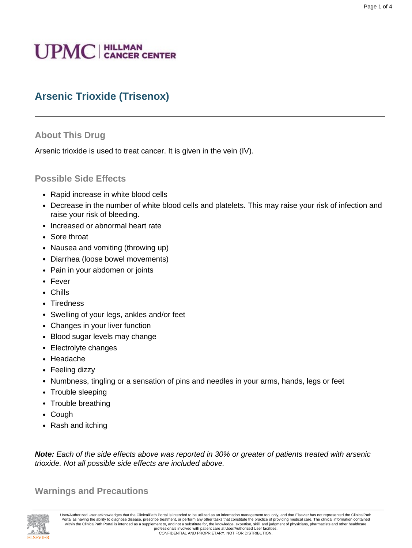# **UPMC** | HILLMAN

# **Arsenic Trioxide (Trisenox)**

## **About This Drug**

Arsenic trioxide is used to treat cancer. It is given in the vein (IV).

## **Possible Side Effects**

- Rapid increase in white blood cells
- Decrease in the number of white blood cells and platelets. This may raise your risk of infection and raise your risk of bleeding.
- Increased or abnormal heart rate
- Sore throat
- Nausea and vomiting (throwing up)
- Diarrhea (loose bowel movements)
- Pain in your abdomen or joints
- Fever
- Chills
- Tiredness
- Swelling of your legs, ankles and/or feet
- Changes in your liver function
- Blood sugar levels may change
- Electrolyte changes
- Headache
- Feeling dizzy
- Numbness, tingling or a sensation of pins and needles in your arms, hands, legs or feet
- Trouble sleeping
- Trouble breathing
- Cough
- Rash and itching

**Note:** Each of the side effects above was reported in 30% or greater of patients treated with arsenic trioxide. Not all possible side effects are included above.

**Warnings and Precautions**



User/Authorized User acknowledges that the ClinicalPath Portal is intended to be utilized as an information management tool only, and that Elsevier has not represented the ClinicalPath Portal as having the ability to diagnose disease, prescribe treatment, or perform any other tasks that constitute the practice of providing medical care. The clinical information contained within the ClinicalPath Portal is CONFIDENTIAL AND PROPRIETARY. NOT FOR DISTRIBUTION.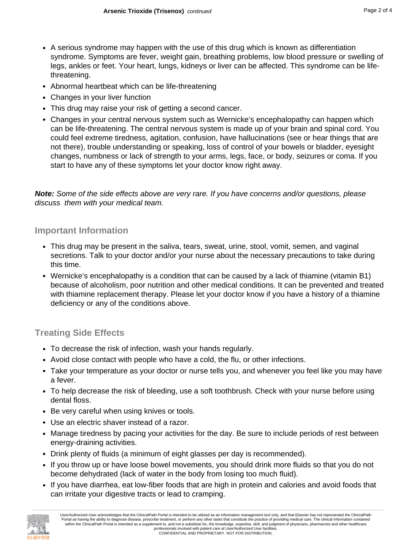- A serious syndrome may happen with the use of this drug which is known as differentiation syndrome. Symptoms are fever, weight gain, breathing problems, low blood pressure or swelling of legs, ankles or feet. Your heart, lungs, kidneys or liver can be affected. This syndrome can be lifethreatening.
- Abnormal heartbeat which can be life-threatening
- Changes in your liver function
- This drug may raise your risk of getting a second cancer.
- Changes in your central nervous system such as Wernicke's encephalopathy can happen which can be life-threatening. The central nervous system is made up of your brain and spinal cord. You could feel extreme tiredness, agitation, confusion, have hallucinations (see or hear things that are not there), trouble understanding or speaking, loss of control of your bowels or bladder, eyesight changes, numbness or lack of strength to your arms, legs, face, or body, seizures or coma. If you start to have any of these symptoms let your doctor know right away.

**Note:** Some of the side effects above are very rare. If you have concerns and/or questions, please discuss them with your medical team.

#### **Important Information**

- This drug may be present in the saliva, tears, sweat, urine, stool, vomit, semen, and vaginal secretions. Talk to your doctor and/or your nurse about the necessary precautions to take during this time.
- Wernicke's encephalopathy is a condition that can be caused by a lack of thiamine (vitamin B1) because of alcoholism, poor nutrition and other medical conditions. It can be prevented and treated with thiamine replacement therapy. Please let your doctor know if you have a history of a thiamine deficiency or any of the conditions above.

## **Treating Side Effects**

- To decrease the risk of infection, wash your hands regularly.
- Avoid close contact with people who have a cold, the flu, or other infections.
- Take your temperature as your doctor or nurse tells you, and whenever you feel like you may have a fever.
- To help decrease the risk of bleeding, use a soft toothbrush. Check with your nurse before using dental floss.
- Be very careful when using knives or tools.
- Use an electric shaver instead of a razor.
- Manage tiredness by pacing your activities for the day. Be sure to include periods of rest between energy-draining activities.
- Drink plenty of fluids (a minimum of eight glasses per day is recommended).
- If you throw up or have loose bowel movements, you should drink more fluids so that you do not become dehydrated (lack of water in the body from losing too much fluid).
- If you have diarrhea, eat low-fiber foods that are high in protein and calories and avoid foods that can irritate your digestive tracts or lead to cramping.

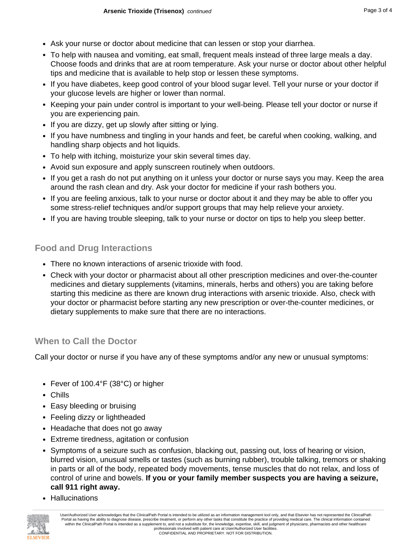- Ask your nurse or doctor about medicine that can lessen or stop your diarrhea.
- To help with nausea and vomiting, eat small, frequent meals instead of three large meals a day. Choose foods and drinks that are at room temperature. Ask your nurse or doctor about other helpful tips and medicine that is available to help stop or lessen these symptoms.
- If you have diabetes, keep good control of your blood sugar level. Tell your nurse or your doctor if your glucose levels are higher or lower than normal.
- Keeping your pain under control is important to your well-being. Please tell your doctor or nurse if you are experiencing pain.
- If you are dizzy, get up slowly after sitting or lying.
- If you have numbness and tingling in your hands and feet, be careful when cooking, walking, and handling sharp objects and hot liquids.
- To help with itching, moisturize your skin several times day.
- Avoid sun exposure and apply sunscreen routinely when outdoors.
- If you get a rash do not put anything on it unless your doctor or nurse says you may. Keep the area around the rash clean and dry. Ask your doctor for medicine if your rash bothers you.
- If you are feeling anxious, talk to your nurse or doctor about it and they may be able to offer you some stress-relief techniques and/or support groups that may help relieve your anxiety.
- If you are having trouble sleeping, talk to your nurse or doctor on tips to help you sleep better.

# **Food and Drug Interactions**

- There no known interactions of arsenic trioxide with food.
- Check with your doctor or pharmacist about all other prescription medicines and over-the-counter medicines and dietary supplements (vitamins, minerals, herbs and others) you are taking before starting this medicine as there are known drug interactions with arsenic trioxide. Also, check with your doctor or pharmacist before starting any new prescription or over-the-counter medicines, or dietary supplements to make sure that there are no interactions.

## **When to Call the Doctor**

Call your doctor or nurse if you have any of these symptoms and/or any new or unusual symptoms:

- Fever of 100.4°F (38°C) or higher
- Chills
- Easy bleeding or bruising
- Feeling dizzy or lightheaded
- Headache that does not go away
- Extreme tiredness, agitation or confusion
- Symptoms of a seizure such as confusion, blacking out, passing out, loss of hearing or vision, blurred vision, unusual smells or tastes (such as burning rubber), trouble talking, tremors or shaking in parts or all of the body, repeated body movements, tense muscles that do not relax, and loss of control of urine and bowels. **If you or your family member suspects you are having a seizure, call 911 right away.**
- Hallucinations